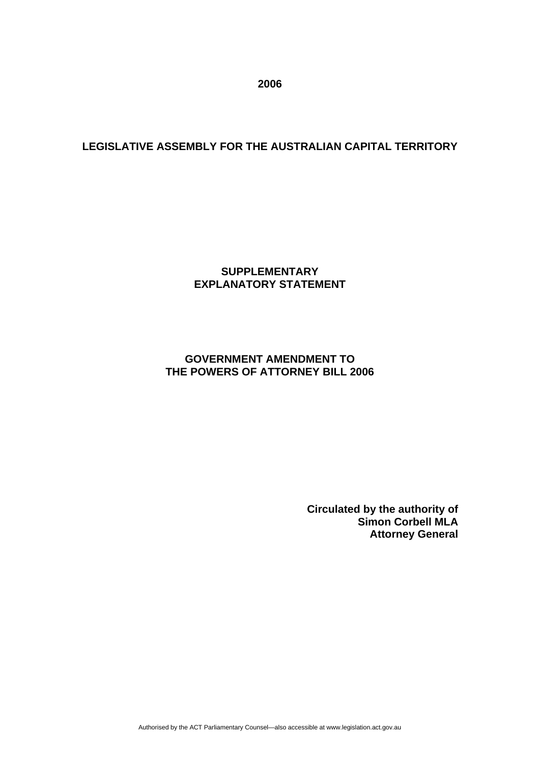**2006** 

# **LEGISLATIVE ASSEMBLY FOR THE AUSTRALIAN CAPITAL TERRITORY**

## **SUPPLEMENTARY EXPLANATORY STATEMENT**

## **GOVERNMENT AMENDMENT TO THE POWERS OF ATTORNEY BILL 2006**

**Circulated by the authority of Simon Corbell MLA Attorney General**